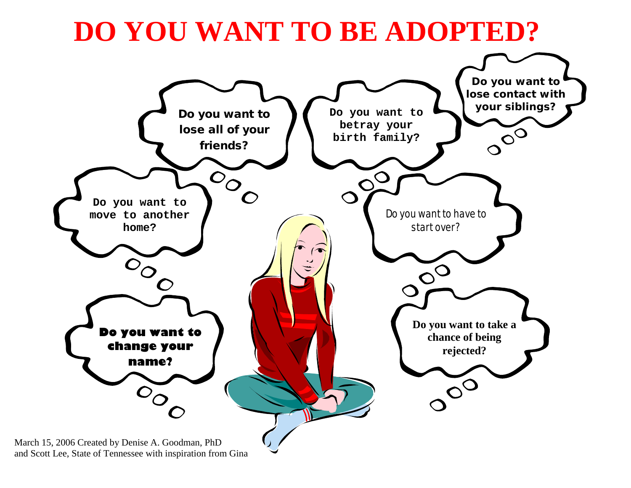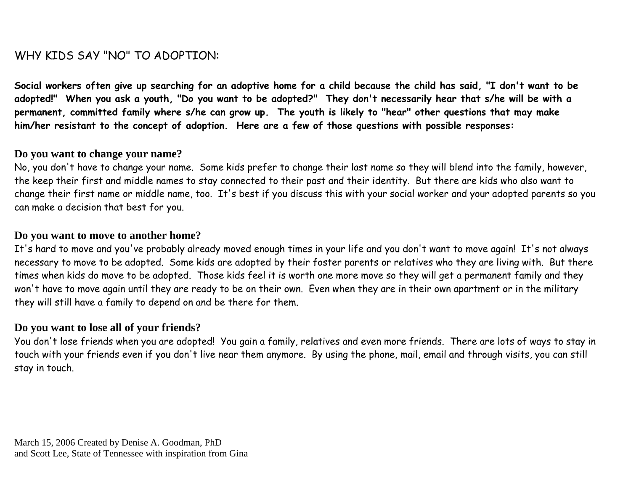# WHY KIDS SAY "NO" TO ADOPTION:

**Social workers often give up searching for an adoptive home for a child because the child has said, "I don't want to be adopted!" When you ask a youth, "Do you want to be adopted?" They don't necessarily hear that s/he will be with a permanent, committed family where s/he can grow up. The youth is likely to "hear" other questions that may make him/her resistant to the concept of adoption. Here are a few of those questions with possible responses:**

#### **Do you want to change your name?**

No, you don't have to change your name. Some kids prefer to change their last name so they will blend into the family, however, the keep their first and middle names to stay connected to their past and their identity. But there are kids who also want to change their first name or middle name, too. It's best if you discuss this with your social worker and your adopted parents so you can make a decision that best for you.

#### **Do you want to move to another home?**

It's hard to move and you've probably already moved enough times in your life and you don't want to move again! It's not always necessary to move to be adopted. Some kids are adopted by their foster parents or relatives who they are living with. But there times when kids do move to be adopted. Those kids feel it is worth one more move so they will get a permanent family and they won't have to move again until they are ready to be on their own. Even when they are in their own apartment or in the military they will still have a family to depend on and be there for them.

## **Do you want to lose all of your friends?**

You don't lose friends when you are adopted! You gain a family, relatives and even more friends. There are lots of ways to stay in touch with your friends even if you don't live near them anymore. By using the phone, mail, email and through visits, you can still stay in touch.